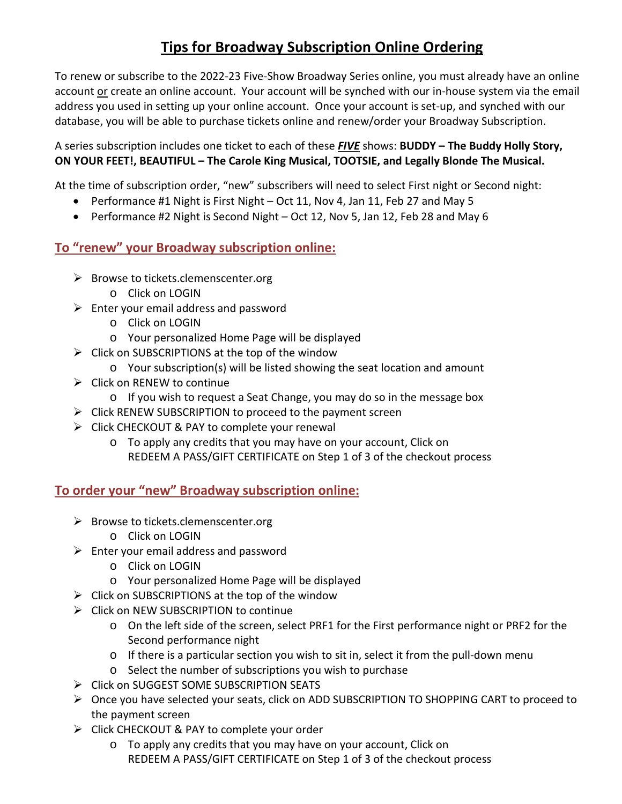## **Tips for Broadway Subscription Online Ordering**

To renew or subscribe to the 2022-23 Five-Show Broadway Series online, you must already have an online account or create an online account. Your account will be synched with our in-house system via the email address you used in setting up your online account. Once your account is set-up, and synched with our database, you will be able to purchase tickets online and renew/order your Broadway Subscription.

A series subscription includes one ticket to each of these *FIVE* shows: **BUDDY – The Buddy Holly Story, ON YOUR FEET!, BEAUTIFUL – The Carole King Musical, TOOTSIE, and Legally Blonde The Musical.**

At the time of subscription order, "new" subscribers will need to select First night or Second night:

- Performance #1 Night is First Night Oct 11, Nov 4, Jan 11, Feb 27 and May 5
- Performance #2 Night is Second Night Oct 12, Nov 5, Jan 12, Feb 28 and May 6

## **To "renew" your Broadway subscription online:**

- $\triangleright$  Browse to tickets.clemenscenter.org
	- o Click on LOGIN
- $\triangleright$  Enter your email address and password
	- o Click on LOGIN
	- o Your personalized Home Page will be displayed
- $\triangleright$  Click on SUBSCRIPTIONS at the top of the window
	- o Your subscription(s) will be listed showing the seat location and amount
- $\triangleright$  Click on RENEW to continue
	- o If you wish to request a Seat Change, you may do so in the message box
- $\triangleright$  Click RENEW SUBSCRIPTION to proceed to the payment screen
- $\triangleright$  Click CHECKOUT & PAY to complete your renewal
	- o To apply any credits that you may have on your account, Click on REDEEM A PASS/GIFT CERTIFICATE on Step 1 of 3 of the checkout process

**To order your "new" Broadway subscription online:**

- $\triangleright$  Browse to tickets.clemenscenter.org
	- o Click on LOGIN
- $\triangleright$  Enter your email address and password
	- o Click on LOGIN
	- o Your personalized Home Page will be displayed
- $\triangleright$  Click on SUBSCRIPTIONS at the top of the window
- ▶ Click on NEW SUBSCRIPTION to continue
	- o On the left side of the screen, select PRF1 for the First performance night or PRF2 for the Second performance night
	- $\circ$  If there is a particular section you wish to sit in, select it from the pull-down menu
	- o Select the number of subscriptions you wish to purchase
- **►** Click on SUGGEST SOME SUBSCRIPTION SEATS
- Once you have selected your seats, click on ADD SUBSCRIPTION TO SHOPPING CART to proceed to the payment screen
- $\triangleright$  Click CHECKOUT & PAY to complete your order
	- o To apply any credits that you may have on your account, Click on REDEEM A PASS/GIFT CERTIFICATE on Step 1 of 3 of the checkout process